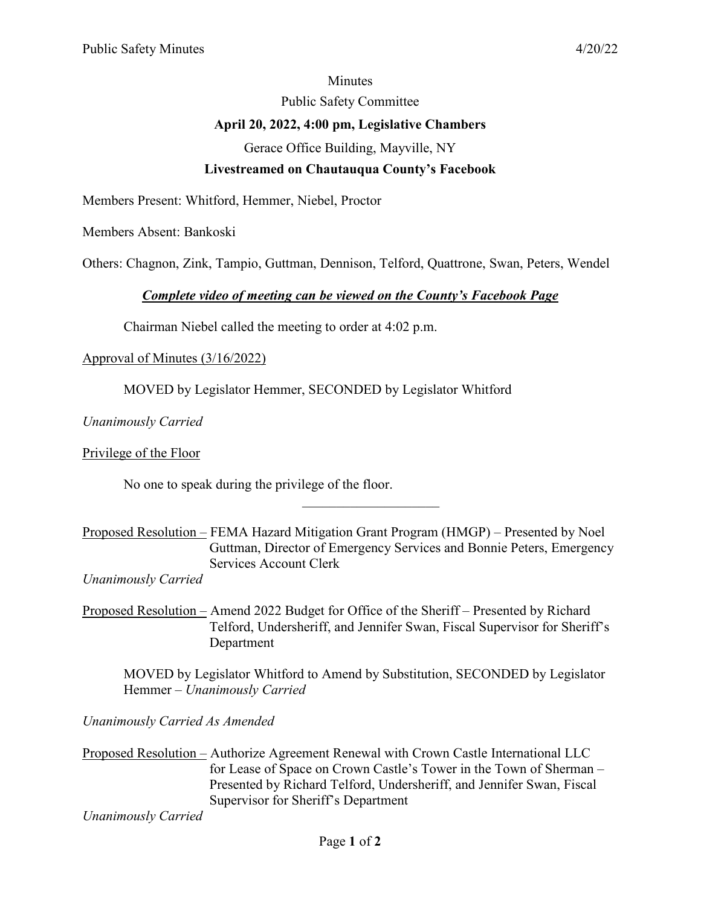#### **Minutes**

Public Safety Committee

## **April 20, 2022, 4:00 pm, Legislative Chambers**

Gerace Office Building, Mayville, NY

## **Livestreamed on Chautauqua County's Facebook**

Members Present: Whitford, Hemmer, Niebel, Proctor

Members Absent: Bankoski

Others: Chagnon, Zink, Tampio, Guttman, Dennison, Telford, Quattrone, Swan, Peters, Wendel

### *Complete video of meeting can be viewed on the County's Facebook Page*

Chairman Niebel called the meeting to order at 4:02 p.m.

## Approval of Minutes (3/16/2022)

MOVED by Legislator Hemmer, SECONDED by Legislator Whitford

*Unanimously Carried*

Privilege of the Floor

No one to speak during the privilege of the floor.

Proposed Resolution – FEMA Hazard Mitigation Grant Program (HMGP) – Presented by Noel Guttman, Director of Emergency Services and Bonnie Peters, Emergency Services Account Clerk

 $\overline{\phantom{a}}$  . The set of the set of the set of the set of the set of the set of the set of the set of the set of the set of the set of the set of the set of the set of the set of the set of the set of the set of the set o

*Unanimously Carried* 

Proposed Resolution – Amend 2022 Budget for Office of the Sheriff – Presented by Richard Telford, Undersheriff, and Jennifer Swan, Fiscal Supervisor for Sheriff's Department

MOVED by Legislator Whitford to Amend by Substitution, SECONDED by Legislator Hemmer – *Unanimously Carried*

*Unanimously Carried As Amended*

Proposed Resolution – Authorize Agreement Renewal with Crown Castle International LLC for Lease of Space on Crown Castle's Tower in the Town of Sherman – Presented by Richard Telford, Undersheriff, and Jennifer Swan, Fiscal Supervisor for Sheriff's Department

*Unanimously Carried*